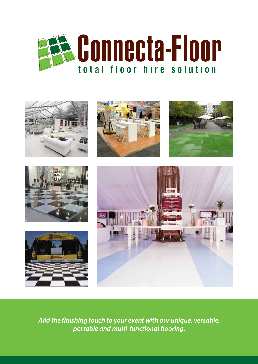



*Add the finishing touch to your event with our unique, versatile, portable and multi-functional flooring.*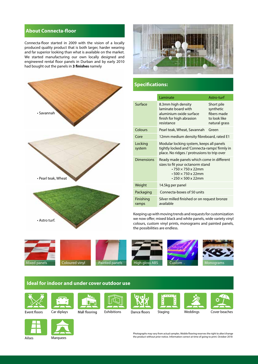# **About Connecta-floor**

Connecta-floor started in 2009 with the vision of a locally produced quality product that is both larger, harder wearing and far superior looking than what is available on the market. We started manufacturing our own locally designed and engineered rental floor panels in Durban and by early 2010 had bought out the panels in **3 finishes** namely



# • Savannah • Pearl teak, Wheat • Astro turf.

|                    | Laminate                                                                                                                                                                                      | Astro-turf                                                              |
|--------------------|-----------------------------------------------------------------------------------------------------------------------------------------------------------------------------------------------|-------------------------------------------------------------------------|
| Surface            | 8.3mm high density<br>laminate board with<br>aluminium oxide surface<br>finish for high abrasion<br>resistance                                                                                | Short pile<br>synthetic<br>fibers made<br>to look like<br>natural grass |
| Colours            | Pearl teak, Wheat, Savannah                                                                                                                                                                   | Green                                                                   |
| Core               | 12mm medium density fibreboard, rated E1                                                                                                                                                      |                                                                         |
| Locking<br>system  | Modular locking system, keeps all panels<br>tightly locked and 'Connecta-ramps' firmly in<br>place. No ridges / protrusions to trip over                                                      |                                                                         |
| Dimensions         | Ready made panels which come in different<br>sizes to fit your octanorm stand<br>$\cdot$ 750 $\times$ 750 $\times$ 22mm<br>$\cdot$ 500 $\times$ 750 x 22mm<br>$\cdot$ 250 $\times$ 500 x 22mm |                                                                         |
| Weight             | 14.5kg per panel                                                                                                                                                                              |                                                                         |
| Packaging          | Connecta-boxes of 50 units                                                                                                                                                                    |                                                                         |
| Finishing<br>ramps | Silver milled finished or on request bronze<br>available                                                                                                                                      |                                                                         |

Keeping up with moving trends and requests for customization we now offer; mixed black and white panels, wide variety vinyl colours, custom vinyl prints, monograms and painted panels, the possibilities are endless.







**Specifications:**





**Ideal for indoor and under cover outdoor use**







Car diplays Mall flooring Exhibitions Dance floors Staging Weddings Cover beaches











Ailses

Marquees

Photographs may vary from actual samples. Mobile flooring reserves the right to alter/change the product without prior notice. Information correct at time of going to print. October 2018

Weddings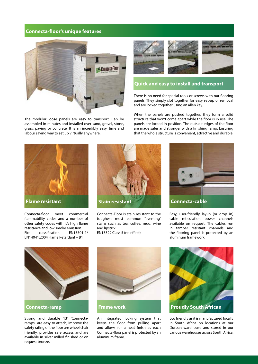## **Connecta-floor's unique features**



The modular loose panels are easy to transport. Can be assembled in minutes and installed over sand, gravel, stone, grass, paving or concrete. It is an incredibly easy, time and labour saving way to set up virtually anywhere.



# **Quick and easy to install and transport**

There is no need for special tools or screws with our flooring panels. They simply slot together for easy set-up or removal and are locked together using an allen key.

When the panels are pushed together, they form a solid structure that won't come apart while the floor is in use. The panels are locked in position. The outside edges of the floor are made safer and stronger with a finishing ramp. Ensuring that the whole structure is convenient, attractive and durable.



**Flame resistant**

Connecta-floor meet commercial flammability codes and a number of other safety codes with it's high flame resistance and low smoke emission. Fire classification: EN13501-1/ EN14041:2004 Flame Retardant – B1



Connecta-Floor is stain resistant to the toughest most common "eventing" stains such as tea, coffee, mud, wine and lipstick.





Easy, user-friendly lay-in (or drop in) cable reticulation power channels available on request. The cables run in tamper resistant channels and the flooring panel is protected by an aluminum framework.



**Connecta-ramp**

Strong and durable 13° 'Connectaramps' are easy to attach, improve the safety rating of the floor are wheel chair friendly, provides safe access and are available in silver milled finished or on request bronze.



An integrated locking system that keeps the floor from pulling apart and allows for a neat finish as each Connecta-floor panel is protected by an aluminum frame.



Eco friendly as it is manufactured locally in South Africa on locations at our Durban warehouse and stored in our various warehouses across South Africa.